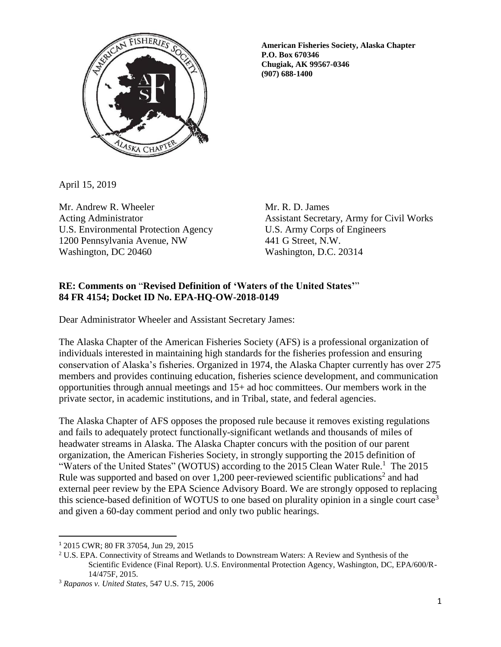

**American Fisheries Society, Alaska Chapter P.O. Box 670346 Chugiak, AK 99567-0346 (907) 688-1400**

April 15, 2019

Mr. Andrew R. Wheeler Mr. R. D. James U.S. Environmental Protection Agency U.S. Army Corps of Engineers 1200 Pennsylvania Avenue, NW 441 G Street, N.W. Washington, DC 20460 Washington, D.C. 20314

Acting Administrator **Assistant Secretary, Army for Civil Works** 

## **RE: Comments on** "**Revised Definition of 'Waters of the United States'**" **84 FR 4154; Docket ID No. EPA-HQ-OW-2018-0149**

Dear Administrator Wheeler and Assistant Secretary James:

The Alaska Chapter of the American Fisheries Society (AFS) is a professional organization of individuals interested in maintaining high standards for the fisheries profession and ensuring conservation of Alaska's fisheries. Organized in 1974, the Alaska Chapter currently has over 275 members and provides continuing education, fisheries science development, and communication opportunities through annual meetings and 15+ ad hoc committees. Our members work in the private sector, in academic institutions, and in Tribal, state, and federal agencies.

The Alaska Chapter of AFS opposes the proposed rule because it removes existing regulations and fails to adequately protect functionally-significant wetlands and thousands of miles of headwater streams in Alaska. The Alaska Chapter concurs with the position of our parent organization, the American Fisheries Society, in strongly supporting the 2015 definition of "Waters of the United States" (WOTUS) according to the 2015 Clean Water Rule.<sup>1</sup> The 2015 Rule was supported and based on over  $1,200$  peer-reviewed scientific publications<sup>2</sup> and had external peer review by the EPA Science Advisory Board. We are strongly opposed to replacing this science-based definition of WOTUS to one based on plurality opinion in a single court case<sup>3</sup> and given a 60-day comment period and only two public hearings.

 $\overline{a}$ 

<sup>1</sup> 2015 CWR; 80 FR 37054, Jun 29, 2015

<sup>2</sup> U.S. EPA. Connectivity of Streams and Wetlands to Downstream Waters: A Review and Synthesis of the Scientific Evidence (Final Report). U.S. Environmental Protection Agency, Washington, DC, EPA/600/R-14/475F, 2015.

<sup>3</sup> *Rapanos v. United States,* 547 U.S. 715, 2006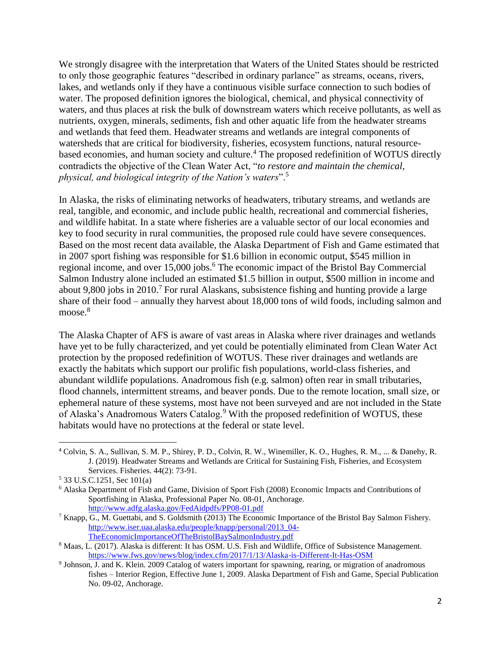We strongly disagree with the interpretation that Waters of the United States should be restricted to only those geographic features "described in ordinary parlance" as streams, oceans, rivers, lakes, and wetlands only if they have a continuous visible surface connection to such bodies of water. The proposed definition ignores the biological, chemical, and physical connectivity of waters, and thus places at risk the bulk of downstream waters which receive pollutants, as well as nutrients, oxygen, minerals, sediments, fish and other aquatic life from the headwater streams and wetlands that feed them. Headwater streams and wetlands are integral components of watersheds that are critical for biodiversity, fisheries, ecosystem functions, natural resourcebased economies, and human society and culture.<sup>4</sup> The proposed redefinition of WOTUS directly contradicts the objective of the Clean Water Act, "*to restore and maintain the chemical, physical, and biological integrity of the Nation's waters*".<sup>5</sup>

In Alaska, the risks of eliminating networks of headwaters, tributary streams, and wetlands are real, tangible, and economic, and include public health, recreational and commercial fisheries, and wildlife habitat. In a state where fisheries are a valuable sector of our local economies and key to food security in rural communities, the proposed rule could have severe consequences. Based on the most recent data available, the Alaska Department of Fish and Game estimated that in 2007 sport fishing was responsible for \$1.6 billion in economic output, \$545 million in regional income, and over 15,000 jobs.<sup>6</sup> The economic impact of the Bristol Bay Commercial Salmon Industry alone included an estimated \$1.5 billion in output, \$500 million in income and about 9,800 jobs in 2010.<sup>7</sup> For rural Alaskans, subsistence fishing and hunting provide a large share of their food – annually they harvest about 18,000 tons of wild foods, including salmon and moose.<sup>8</sup>

The Alaska Chapter of AFS is aware of vast areas in Alaska where river drainages and wetlands have yet to be fully characterized, and yet could be potentially eliminated from Clean Water Act protection by the proposed redefinition of WOTUS. These river drainages and wetlands are exactly the habitats which support our prolific fish populations, world-class fisheries, and abundant wildlife populations. Anadromous fish (e.g. salmon) often rear in small tributaries, flood channels, intermittent streams, and beaver ponds. Due to the remote location, small size, or ephemeral nature of these systems, most have not been surveyed and are not included in the State of Alaska's Anadromous Waters Catalog.<sup>9</sup> With the proposed redefinition of WOTUS, these habitats would have no protections at the federal or state level.

 $\overline{\phantom{a}}$ 

<sup>4</sup> Colvin, S. A., Sullivan, S. M. P., Shirey, P. D., Colvin, R. W., Winemiller, K. O., Hughes, R. M., ... & Danehy, R. J. (2019). Headwater Streams and Wetlands are Critical for Sustaining Fish, Fisheries, and Ecosystem Services. Fisheries. 44(2): 73-91.

<sup>5</sup> 33 U.S.C.1251, Sec 101(a)

<sup>6</sup> Alaska Department of Fish and Game, Division of Sport Fish (2008) Economic Impacts and Contributions of Sportfishing in Alaska, Professional Paper No. 08-01, Anchorage. <http://www.adfg.alaska.gov/FedAidpdfs/PP08-01.pdf>

<sup>7</sup> Knapp, G., M. Guettabi, and S. Goldsmith (2013) The Economic Importance of the Bristol Bay Salmon Fishery. [http://www.iser.uaa.alaska.edu/people/knapp/personal/2013\\_04-](http://www.iser.uaa.alaska.edu/people/knapp/personal/2013_04-TheEconomicImportanceOfTheBristolBaySalmonIndustry.pdf) [TheEconomicImportanceOfTheBristolBaySalmonIndustry.pdf](http://www.iser.uaa.alaska.edu/people/knapp/personal/2013_04-TheEconomicImportanceOfTheBristolBaySalmonIndustry.pdf)

<sup>8</sup> Maas, L. (2017). Alaska is different: It has OSM. U.S. Fish and Wildlife, Office of Subsistence Management. <https://www.fws.gov/news/blog/index.cfm/2017/1/13/Alaska-is-Different-It-Has-OSM>

<sup>9</sup> Johnson, J. and K. Klein. 2009 Catalog of waters important for spawning, rearing, or migration of anadromous fishes – Interior Region, Effective June 1, 2009. Alaska Department of Fish and Game, Special Publication No. 09-02, Anchorage.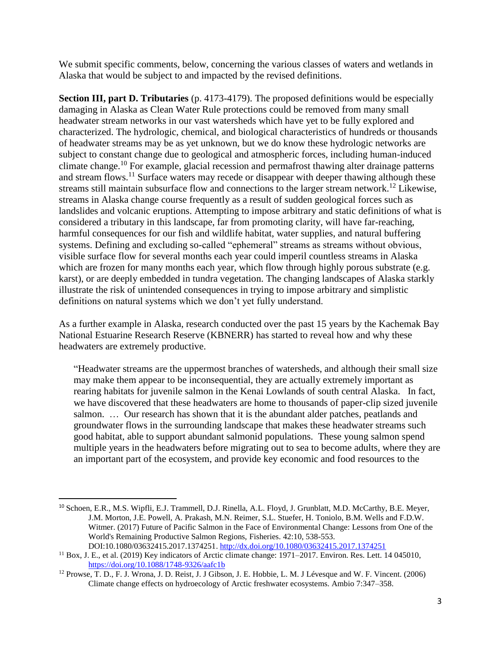We submit specific comments, below, concerning the various classes of waters and wetlands in Alaska that would be subject to and impacted by the revised definitions.

**Section III, part D. Tributaries** (p. 4173-4179). The proposed definitions would be especially damaging in Alaska as Clean Water Rule protections could be removed from many small headwater stream networks in our vast watersheds which have yet to be fully explored and characterized. The hydrologic, chemical, and biological characteristics of hundreds or thousands of headwater streams may be as yet unknown, but we do know these hydrologic networks are subject to constant change due to geological and atmospheric forces, including human-induced climate change. <sup>10</sup> For example, glacial recession and permafrost thawing alter drainage patterns and stream flows.<sup>11</sup> Surface waters may recede or disappear with deeper thawing although these streams still maintain subsurface flow and connections to the larger stream network.<sup>12</sup> Likewise, streams in Alaska change course frequently as a result of sudden geological forces such as landslides and volcanic eruptions. Attempting to impose arbitrary and static definitions of what is considered a tributary in this landscape, far from promoting clarity, will have far-reaching, harmful consequences for our fish and wildlife habitat, water supplies, and natural buffering systems. Defining and excluding so-called "ephemeral" streams as streams without obvious, visible surface flow for several months each year could imperil countless streams in Alaska which are frozen for many months each year, which flow through highly porous substrate (e.g. karst), or are deeply embedded in tundra vegetation. The changing landscapes of Alaska starkly illustrate the risk of unintended consequences in trying to impose arbitrary and simplistic definitions on natural systems which we don't yet fully understand.

As a further example in Alaska, research conducted over the past 15 years by the Kachemak Bay National Estuarine Research Reserve (KBNERR) has started to reveal how and why these headwaters are extremely productive.

"Headwater streams are the uppermost branches of watersheds, and although their small size may make them appear to be inconsequential, they are actually extremely important as rearing habitats for juvenile salmon in the Kenai Lowlands of south central Alaska. In fact, we have discovered that these headwaters are home to thousands of paper-clip sized juvenile salmon. … Our research has shown that it is the abundant alder patches, peatlands and groundwater flows in the surrounding landscape that makes these headwater streams such good habitat, able to support abundant salmonid populations. These young salmon spend multiple years in the headwaters before migrating out to sea to become adults, where they are an important part of the ecosystem, and provide key economic and food resources to the

 $\overline{\phantom{a}}$ 

<sup>10</sup> Schoen, E.R., M.S. Wipfli, E.J. Trammell, D.J. Rinella, A.L. Floyd, J. Grunblatt, M.D. McCarthy, B.E. Meyer, J.M. Morton, J.E. Powell, A. Prakash, M.N. Reimer, S.L. Stuefer, H. Toniolo, B.M. Wells and F.D.W. Witmer. (2017) Future of Pacific Salmon in the Face of Environmental Change: Lessons from One of the World's Remaining Productive Salmon Regions, Fisheries. 42:10, 538-553. DOI:10.1080/03632415.2017.1374251.<http://dx.doi.org/10.1080/03632415.2017.1374251>

 $11$  Box, J. E., et al. (2019) Key indicators of Arctic climate change: 1971–2017. Environ. Res. Lett. 14 045010, <https://doi.org/10.1088/1748-9326/aafc1b>

<sup>&</sup>lt;sup>12</sup> Prowse, T. D., F. J. Wrona, J. D. Reist, J. J Gibson, J. E. Hobbie, L. M. J Lévesque and W. F. Vincent. (2006) Climate change effects on hydroecology of Arctic freshwater ecosystems. Ambio 7:347–358.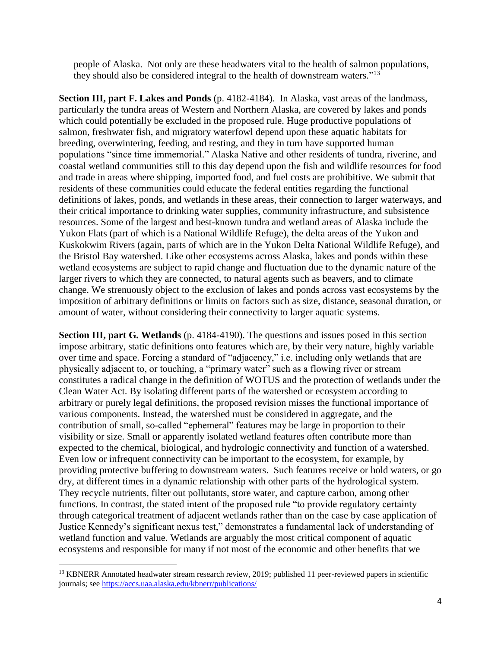people of Alaska. Not only are these headwaters vital to the health of salmon populations, they should also be considered integral to the health of downstream waters.<sup> $13$ </sup>

**Section III, part F. Lakes and Ponds** (p. 4182-4184). In Alaska, vast areas of the landmass, particularly the tundra areas of Western and Northern Alaska, are covered by lakes and ponds which could potentially be excluded in the proposed rule. Huge productive populations of salmon, freshwater fish, and migratory waterfowl depend upon these aquatic habitats for breeding, overwintering, feeding, and resting, and they in turn have supported human populations "since time immemorial." Alaska Native and other residents of tundra, riverine, and coastal wetland communities still to this day depend upon the fish and wildlife resources for food and trade in areas where shipping, imported food, and fuel costs are prohibitive. We submit that residents of these communities could educate the federal entities regarding the functional definitions of lakes, ponds, and wetlands in these areas, their connection to larger waterways, and their critical importance to drinking water supplies, community infrastructure, and subsistence resources. Some of the largest and best-known tundra and wetland areas of Alaska include the Yukon Flats (part of which is a National Wildlife Refuge), the delta areas of the Yukon and Kuskokwim Rivers (again, parts of which are in the Yukon Delta National Wildlife Refuge), and the Bristol Bay watershed. Like other ecosystems across Alaska, lakes and ponds within these wetland ecosystems are subject to rapid change and fluctuation due to the dynamic nature of the larger rivers to which they are connected, to natural agents such as beavers, and to climate change. We strenuously object to the exclusion of lakes and ponds across vast ecosystems by the imposition of arbitrary definitions or limits on factors such as size, distance, seasonal duration, or amount of water, without considering their connectivity to larger aquatic systems.

**Section III, part G. Wetlands** (p. 4184-4190). The questions and issues posed in this section impose arbitrary, static definitions onto features which are, by their very nature, highly variable over time and space. Forcing a standard of "adjacency," i.e. including only wetlands that are physically adjacent to, or touching, a "primary water" such as a flowing river or stream constitutes a radical change in the definition of WOTUS and the protection of wetlands under the Clean Water Act. By isolating different parts of the watershed or ecosystem according to arbitrary or purely legal definitions, the proposed revision misses the functional importance of various components. Instead, the watershed must be considered in aggregate, and the contribution of small, so-called "ephemeral" features may be large in proportion to their visibility or size. Small or apparently isolated wetland features often contribute more than expected to the chemical, biological, and hydrologic connectivity and function of a watershed. Even low or infrequent connectivity can be important to the ecosystem, for example, by providing protective buffering to downstream waters. Such features receive or hold waters, or go dry, at different times in a dynamic relationship with other parts of the hydrological system. They recycle nutrients, filter out pollutants, store water, and capture carbon, among other functions. In contrast, the stated intent of the proposed rule "to provide regulatory certainty through categorical treatment of adjacent wetlands rather than on the case by case application of Justice Kennedy's significant nexus test," demonstrates a fundamental lack of understanding of wetland function and value. Wetlands are arguably the most critical component of aquatic ecosystems and responsible for many if not most of the economic and other benefits that we

 $\overline{\phantom{a}}$ 

<sup>&</sup>lt;sup>13</sup> KBNERR Annotated headwater stream research review, 2019; published 11 peer-reviewed papers in scientific journals; see<https://accs.uaa.alaska.edu/kbnerr/publications/>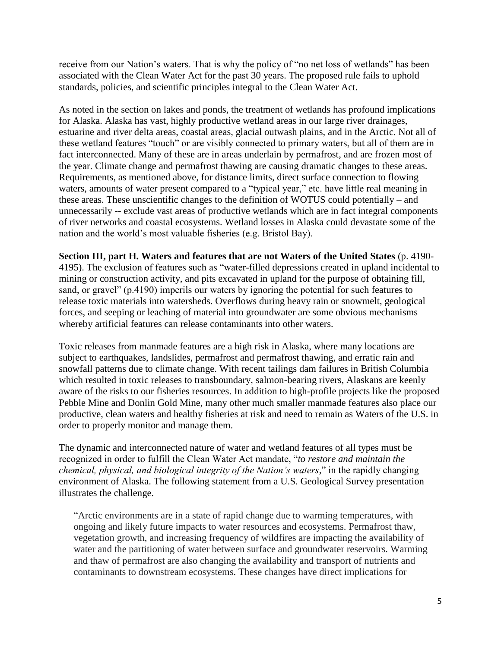receive from our Nation's waters. That is why the policy of "no net loss of wetlands" has been associated with the Clean Water Act for the past 30 years. The proposed rule fails to uphold standards, policies, and scientific principles integral to the Clean Water Act.

As noted in the section on lakes and ponds, the treatment of wetlands has profound implications for Alaska. Alaska has vast, highly productive wetland areas in our large river drainages, estuarine and river delta areas, coastal areas, glacial outwash plains, and in the Arctic. Not all of these wetland features "touch" or are visibly connected to primary waters, but all of them are in fact interconnected. Many of these are in areas underlain by permafrost, and are frozen most of the year. Climate change and permafrost thawing are causing dramatic changes to these areas. Requirements, as mentioned above, for distance limits, direct surface connection to flowing waters, amounts of water present compared to a "typical year," etc. have little real meaning in these areas. These unscientific changes to the definition of WOTUS could potentially – and unnecessarily -- exclude vast areas of productive wetlands which are in fact integral components of river networks and coastal ecosystems. Wetland losses in Alaska could devastate some of the nation and the world's most valuable fisheries (e.g. Bristol Bay).

**Section III, part H. Waters and features that are not Waters of the United States** (p. 4190- 4195). The exclusion of features such as "water-filled depressions created in upland incidental to mining or construction activity, and pits excavated in upland for the purpose of obtaining fill, sand, or gravel" (p.4190) imperils our waters by ignoring the potential for such features to release toxic materials into watersheds. Overflows during heavy rain or snowmelt, geological forces, and seeping or leaching of material into groundwater are some obvious mechanisms whereby artificial features can release contaminants into other waters.

Toxic releases from manmade features are a high risk in Alaska, where many locations are subject to earthquakes, landslides, permafrost and permafrost thawing, and erratic rain and snowfall patterns due to climate change. With recent tailings dam failures in British Columbia which resulted in toxic releases to transboundary, salmon-bearing rivers, Alaskans are keenly aware of the risks to our fisheries resources. In addition to high-profile projects like the proposed Pebble Mine and Donlin Gold Mine, many other much smaller manmade features also place our productive, clean waters and healthy fisheries at risk and need to remain as Waters of the U.S. in order to properly monitor and manage them.

The dynamic and interconnected nature of water and wetland features of all types must be recognized in order to fulfill the Clean Water Act mandate, "*to restore and maintain the chemical, physical, and biological integrity of the Nation's waters,*" in the rapidly changing environment of Alaska. The following statement from a U.S. Geological Survey presentation illustrates the challenge.

"Arctic environments are in a state of rapid change due to warming temperatures, with ongoing and likely future impacts to water resources and ecosystems. Permafrost thaw, vegetation growth, and increasing frequency of wildfires are impacting the availability of water and the partitioning of water between surface and groundwater reservoirs. Warming and thaw of permafrost are also changing the availability and transport of nutrients and contaminants to downstream ecosystems. These changes have direct implications for